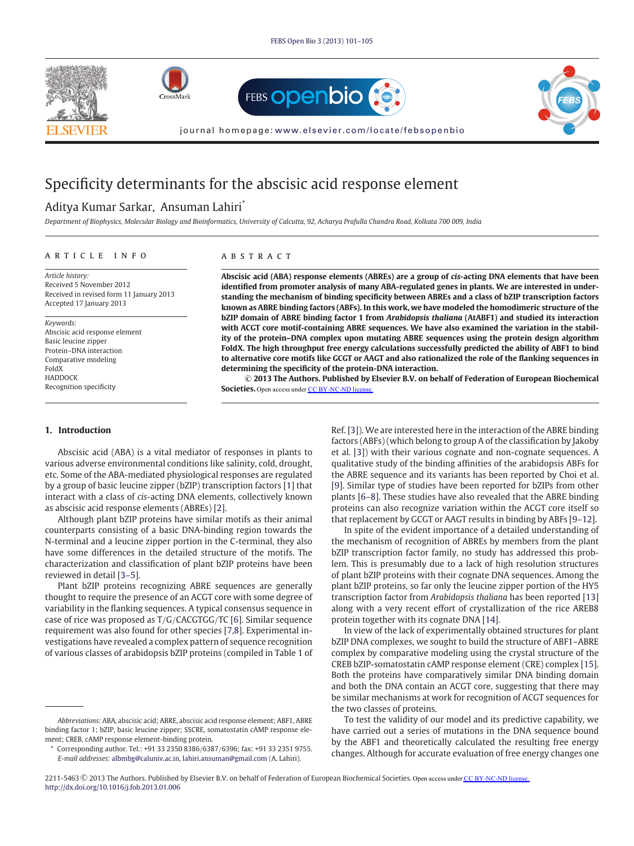







journal homepage: [www.elsevier.com/locate/febsopenbio](http://www.elsevier.com/locate/febsopenbio)

# Specificity determinants for the abscisic acid response element

## Aditya Kumar Sarkar, Ansuman Lahiri\*

*Department of Biophysics, Molecular Biology and Bioinformatics, University of Calcutta, 92, Acharya Prafulla Chandra Road, Kolkata 700 009, India*

#### article info

*Article history:* Received 5 November 2012 Received in revised form 11 January 2013 Accepted 17 January 2013

*Keywords:*

Abscisic acid response element Basic leucine zipper Protein–DNA interaction Comparative modeling FoldX **HADDOCK** Recognition specificity

## A B S T R A C T

**Abscisic acid (ABA) response elements (ABREs) are a group of** *cis***-acting DNA elements that have been identified from promoter analysis of many ABA-regulated genes in plants. We are interested in understanding the mechanism of binding specificity between ABREs and a class of bZIP transcription factors known as ABRE binding factors (ABFs). In this work, we have modeled the homodimeric structure of the bZIP domain of ABRE binding factor 1 from** *Arabidopsis thaliana* **(AtABF1) and studied its interaction with ACGT core motif-containing ABRE sequences. We have also examined the variation in the stability of the protein–DNA complex upon mutating ABRE sequences using the protein design algorithm FoldX. The high throughput free energy calculations successfully predicted the ability of ABF1 to bind to alternative core motifs like GCGT or AAGT and also rationalized the role of the flanking sequences in determining the specificity of the protein-DNA interaction.**

-**<sup>C</sup> 2013 The Authors. Published by Elsevier B.V. on behalf of Federation of European Biochemical Societies.** Open access under [CC BY-NC-ND license.](http://creativecommons.org/licenses/by-nc-nd/3.0/)

#### **1. Introduction**

Abscisic acid (ABA) is a vital mediator of responses in plants to various adverse environmental conditions like salinity, cold, drought, etc. Some of the ABA-mediated physiological responses are regulated by a group of basic leucine zipper (bZIP) transcription factors [\[1\]](#page-4-0) that interact with a class of *cis*-acting DNA elements, collectively known as abscisic acid response elements (ABREs) [\[2\]](#page-4-0).

Although plant bZIP proteins have similar motifs as their animal counterparts consisting of a basic DNA-binding region towards the N-terminal and a leucine zipper portion in the C-terminal, they also have some differences in the detailed structure of the motifs. The characterization and classification of plant bZIP proteins have been reviewed in detail [\[3–5\]](#page-4-0).

Plant bZIP proteins recognizing ABRE sequences are generally thought to require the presence of an ACGT core with some degree of variability in the flanking sequences. A typical consensus sequence in case of rice was proposed as T/G/CACGTGG/TC [\[6\]](#page-4-0). Similar sequence requirement was also found for other species [\[7,8\]](#page-4-0). Experimental investigations have revealed a complex pattern of sequence recognition of various classes of arabidopsis bZIP proteins (compiled in Table 1 of Ref. [\[3\]](#page-4-0)). We are interested here in the interaction of the ABRE binding factors (ABFs) (which belong to group A of the classification by Jakoby et al. [\[3\]](#page-4-0)) with their various cognate and non-cognate sequences. A qualitative study of the binding affinities of the arabidopsis ABFs for the ABRE sequence and its variants has been reported by Choi et al. [\[9\]](#page-4-0). Similar type of studies have been reported for bZIPs from other plants [\[6–8\]](#page-4-0). These studies have also revealed that the ABRE binding proteins can also recognize variation within the ACGT core itself so that replacement by GCGT or AAGT results in binding by ABFs [\[9–12\]](#page-4-0).

In spite of the evident importance of a detailed understanding of the mechanism of recognition of ABREs by members from the plant bZIP transcription factor family, no study has addressed this problem. This is presumably due to a lack of high resolution structures of plant bZIP proteins with their cognate DNA sequences. Among the plant bZIP proteins, so far only the leucine zipper portion of the HY5 transcription factor from *Arabidopsis thaliana* has been reported [\[13\]](#page-4-0) along with a very recent effort of crystallization of the rice AREB8 protein together with its cognate DNA [\[14\]](#page-4-0).

In view of the lack of experimentally obtained structures for plant bZIP DNA complexes, we sought to build the structure of ABF1–ABRE complex by comparative modeling using the crystal structure of the CREB bZIP-somatostatin cAMP response element (CRE) complex [\[15\]](#page-4-0). Both the proteins have comparatively similar DNA binding domain and both the DNA contain an ACGT core, suggesting that there may be similar mechanisms at work for recognition of ACGT sequences for the two classes of proteins.

To test the validity of our model and its predictive capability, we have carried out a series of mutations in the DNA sequence bound by the ABF1 and theoretically calculated the resulting free energy changes. Although for accurate evaluation of free energy changes one

2211-5463 © 2013 The Authors. Published by Elsevier B.V. on behalf of Federation of European Biochemical Societies. Open access under [CC BY-NC-ND license.](http://creativecommons.org/licenses/by-nc-nd/3.0/) <http://dx.doi.org/10.1016/j.fob.2013.01.006>

*Abbreviations:* ABA, abscisic acid; ABRE, abscisic acid response element; ABF1, ABRE binding factor 1; bZIP, basic leucine zipper; SSCRE, somatostatin cAMP response element; CREB, cAMP response element-binding protein.

Corresponding author. Tel.: +91 33 2350 8386/6387/6396; fax: +91 33 2351 9755. *E-mail addresses:* [albmbg@caluniv.ac.in,](mailto:albmbg@caluniv.ac.in) [lahiri.ansuman@gmail.com](mailto:lahiri.ansuman@gmail.com) (A. Lahiri).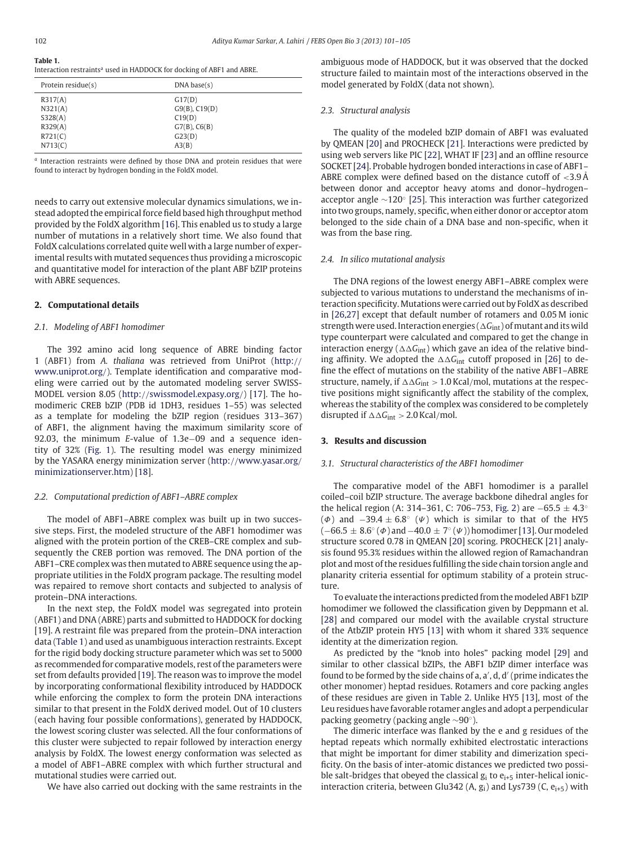## **Table 1.**

| Interaction restraints <sup>a</sup> used in HADDOCK for docking of ABF1 and ABRE. |  |  |  |
|-----------------------------------------------------------------------------------|--|--|--|
|                                                                                   |  |  |  |
|                                                                                   |  |  |  |

| Protein residue(s) | DNA base(s)        |  |
|--------------------|--------------------|--|
| R317(A)            | G17(D)             |  |
| N321(A)            | $G9(B)$ , $C19(D)$ |  |
| S328(A)            | C19(D)             |  |
| R329(A)            | $G7(B)$ , $C6(B)$  |  |
| R721(C)            | G23(D)             |  |
| N713(C)            | A3(B)              |  |

*<sup>a</sup>* Interaction restraints were defined by those DNA and protein residues that were found to interact by hydrogen bonding in the FoldX model.

needs to carry out extensive molecular dynamics simulations, we instead adopted the empirical force field based high throughput method provided by the FoldX algorithm [\[16\]](#page-4-0). This enabled us to study a large number of mutations in a relatively short time. We also found that FoldX calculations correlated quite well with a large number of experimental results with mutated sequences thus providing a microscopic and quantitative model for interaction of the plant ABF bZIP proteins with ABRE sequences.

## **2. Computational details**

#### *2.1. Modeling of ABF1 homodimer*

The 392 amino acid long sequence of ABRE binding factor 1 (ABF1) from *A. thaliana* was retrieved from UniProt (http:// www.uniprot.org/). Template identification and comparative modeling were carried out by the automated modeling server SWISS-MODEL version 8.05 (http://[swissmodel.expasy.org](http://swissmodel.expasy.org/)/) [\[17\]](#page-4-0). The homodimeric CREB bZIP (PDB id 1DH3, residues 1–55) was selected as a template for modeling the bZIP region (residues 313–367) of ABF1, the alignment having the maximum similarity score of 92.03, the minimum *E*-value of 1.3e–09 and a sequence identity of 32% [\(Fig. 1\)](#page-2-0). The resulting model was energy minimized by the YASARA energy minimization server (http://www.yasar.org/ minimizationserver.htm) [\[18\]](#page-4-0).

## *2.2. Computational prediction of ABF1–ABRE complex*

The model of ABF1–ABRE complex was built up in two successive steps. First, the modeled structure of the ABF1 homodimer was aligned with the protein portion of the CREB–CRE complex and subsequently the CREB portion was removed. The DNA portion of the ABF1–CRE complex was then mutated to ABRE sequence using the appropriate utilities in the FoldX program package. The resulting model was repaired to remove short contacts and subjected to analysis of protein–DNA interactions.

In the next step, the FoldX model was segregated into protein (ABF1) and DNA (ABRE) parts and submitted to HADDOCK for docking [19]. A restraint file was prepared from the protein–DNA interaction data (Table 1) and used as unambiguous interaction restraints. Except for the rigid body docking structure parameter which was set to 5000 as recommended for comparative models, rest of the parameters were set from defaults provided [\[19\]](#page-4-0). The reason was to improve the model by incorporating conformational flexibility introduced by HADDOCK while enforcing the complex to form the protein DNA interactions similar to that present in the FoldX derived model. Out of 10 clusters (each having four possible conformations), generated by HADDOCK, the lowest scoring cluster was selected. All the four conformations of this cluster were subjected to repair followed by interaction energy analysis by FoldX. The lowest energy conformation was selected as a model of ABF1–ABRE complex with which further structural and mutational studies were carried out.

We have also carried out docking with the same restraints in the

ambiguous mode of HADDOCK, but it was observed that the docked structure failed to maintain most of the interactions observed in the model generated by FoldX (data not shown).

#### *2.3. Structural analysis*

The quality of the modeled bZIP domain of ABF1 was evaluated by QMEAN [\[20\]](#page-4-0) and PROCHECK [\[21\]](#page-4-0). Interactions were predicted by using web servers like PIC [\[22\]](#page-4-0), WHAT IF [\[23\]](#page-4-0) and an offline resource SOCKET [\[24\]](#page-4-0). Probable hydrogen bonded interactions in case of ABF1– ABRE complex were defined based on the distance cutoff of  $\leq$ 3.9 Å between donor and acceptor heavy atoms and donor–hydrogen– acceptor angle ∼120◦ [\[25\]](#page-4-0). This interaction was further categorized into two groups, namely, specific, when either donor or acceptor atom belonged to the side chain of a DNA base and non-specific, when it was from the base ring.

#### *2.4. In silico mutational analysis*

The DNA regions of the lowest energy ABF1–ABRE complex were subjected to various mutations to understand the mechanisms of interaction specificity. Mutations were carried out by FoldX as described in [\[26,27\]](#page-4-0) except that default number of rotamers and 0.05 M ionic strength were used. Interaction energies ( $\Delta G_{\rm int}$ ) of mutant and its wild type counterpart were calculated and compared to get the change in interaction energy ( $\Delta\Delta G_{\rm int}$ ) which gave an idea of the relative binding affinity. We adopted the  $\Delta\Delta G_{\text{int}}$  cutoff proposed in [\[26\]](#page-4-0) to define the effect of mutations on the stability of the native ABF1–ABRE structure, namely, if  $\Delta\Delta G_{\rm int} > 1.0$  Kcal/mol, mutations at the respective positions might significantly affect the stability of the complex, whereas the stability of the complex was considered to be completely disrupted if  $\Delta \Delta G_{\text{int}} > 2.0$  Kcal/mol.

### **3. Results and discussion**

#### *3.1. Structural characteristics of the ABF1 homodimer*

The comparative model of the ABF1 homodimer is a parallel coiled–coil bZIP structure. The average backbone dihedral angles for the helical region (A: 314–361, C: 706–753, [Fig. 2\)](#page-2-0) are  $-65.5 \pm 4.3$ <sup>°</sup> ( $\Phi$ ) and  $-39.4 \pm 6.8°$  ( $\Psi$ ) which is similar to that of the HY5  $(-66.5 \pm 8.6°(\Phi)$  and  $-40.0 \pm 7°(\Psi)$ ) homodimer [\[13\]](#page-4-0). Our modeled structure scored 0.78 in QMEAN [\[20\]](#page-4-0) scoring. PROCHECK [\[21\]](#page-4-0) analysis found 95.3% residues within the allowed region of Ramachandran plot and most of the residues fulfilling the side chain torsion angle and planarity criteria essential for optimum stability of a protein structure.

To evaluate the interactions predicted from the modeled ABF1 bZIP homodimer we followed the classification given by Deppmann et al. [\[28\]](#page-4-0) and compared our model with the available crystal structure of the AtbZIP protein HY5 [\[13\]](#page-4-0) with whom it shared 33% sequence identity at the dimerization region.

As predicted by the "knob into holes" packing model [\[29\]](#page-4-0) and similar to other classical bZIPs, the ABF1 bZIP dimer interface was found to be formed by the side chains of a, a', d, d' (prime indicates the other monomer) heptad residues. Rotamers and core packing angles of these residues are given in [Table 2.](#page-2-0) Unlike HY5 [\[13\]](#page-4-0), most of the Leu residues have favorable rotamer angles and adopt a perpendicular packing geometry (packing angle ∼90◦).

The dimeric interface was flanked by the e and g residues of the heptad repeats which normally exhibited electrostatic interactions that might be important for dimer stability and dimerization specificity. On the basis of inter-atomic distances we predicted two possible salt-bridges that obeyed the classical  $g_i$  to  $e_{i+5}$  inter-helical ionicinteraction criteria, between Glu342 (A,  $g_i$ ) and Lys739 (C,  $e_{i+5}$ ) with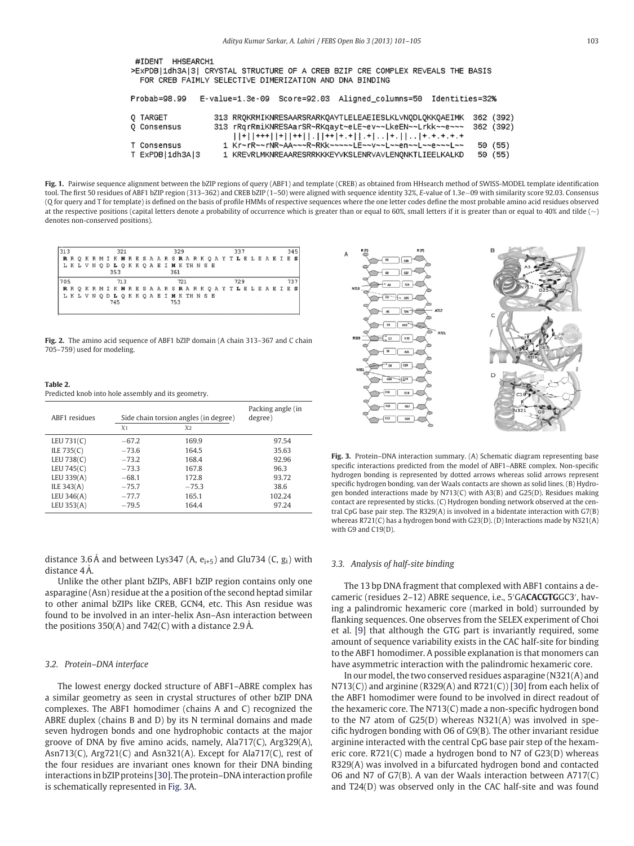<span id="page-2-0"></span>

| <b>HHSEARCH1</b><br>#IDENT<br>>ExPDB 1dh3A 3  CRYSTAL STRUCTURE OF A CREB BZIP CRE COMPLEX REVEALS THE BASIS<br>FOR CREB FAIMLY SELECTIVE DIMERIZATION AND DNA BINDING |                                                                                                                                                                                                                                                                                                                                                                                                                                                                  |                        |  |  |
|------------------------------------------------------------------------------------------------------------------------------------------------------------------------|------------------------------------------------------------------------------------------------------------------------------------------------------------------------------------------------------------------------------------------------------------------------------------------------------------------------------------------------------------------------------------------------------------------------------------------------------------------|------------------------|--|--|
| Probab=98.99                                                                                                                                                           | E-value=1.3e-09 Score=92.03 Aligned_columns=50 Identities=32%                                                                                                                                                                                                                                                                                                                                                                                                    |                        |  |  |
| 0 TARGET<br><b>Q</b> Consensus                                                                                                                                         | 313 RROKRMIKNRESAARSRARKOAYTLELEAEIESLKLVNODLOKKOAEIMK<br>313 rRgrRmiKNRESAarSR~RKgayt~eLE~ev~~LkeEN~~Lrkk~~e~~~<br>$[\,]\,+\,[\,]\,+\,+\,[\,]\,+\,[\,]\,+\,+\,[\,]\,]\,+\,[\,]\,+\,[\,]\,+\,[\,]\,+\,[\,]\,+\,[\,]\,+\,[\,]\,+\,[\,+\,]\,+\,[\,+\,]\,+\,[\,+\,]\,+\,[\,+\,]\,+\,[\,+\,]\,+\,[\,+\,]\,+\,[\,+\,]\,+\,[\,+\,]\,+\,[\,+\,]\,+\,[\,+\,]\,+\,[\,+\,]\,+\,[\,+\,]\,+\,[\,+\,]\,+\,[\,+\,]\,+\,[\,+\,]\,+\,[\,+\,]\,+\,[\,+\,]\,+\,[\,+\,]\,+\,[\,+\,$ | 362 (392)<br>362 (392) |  |  |
| T Consensus<br>T ExPDB   1dh3A   3                                                                                                                                     | 1 Kr~rR~~rNR~AA~~~R~RKk~~~~~LE~~v~~L~~en~~L~~e~~~L~~<br>1 KREVRLMKNREAARESRRKKKEYVKSLENRVAVLENONKTLIEELKALKD                                                                                                                                                                                                                                                                                                                                                     | 50 (55)<br>50 (55)     |  |  |

**Fig. 1.** Pairwise sequence alignment between the bZIP regions of query (ABF1) and template (CREB) as obtained from HHsearch method of SWISS-MODEL template identification tool. The first 50 residues of ABF1 bZIP region (313–362) and CREB bZIP (1–50) were aligned with sequence identity 32%, *E*-value of 1.3e−09 with similarity score 92.03. Consensus (Q for query and T for template) is defined on the basis of profile HMMs of respective sequences where the one letter codes define the most probable amino acid residues observed at the respective positions (capital letters denote a probability of occurrence which is greater than or equal to 60%, small letters if it is greater than or equal to 40% and tilde (∼) denotes non-conserved positions).



**Fig. 2.** The amino acid sequence of ABF1 bZIP domain (A chain 313–367 and C chain 705–759) used for modeling.

| Table 2.                                            |  |
|-----------------------------------------------------|--|
| Predicted knob into hole assembly and its geometry. |  |

**Table 2.**

| <b>ABF1</b> residues |                | Side chain torsion angles (in degree) | Packing angle (in<br>degree) |  |
|----------------------|----------------|---------------------------------------|------------------------------|--|
|                      | X <sub>1</sub> | X2                                    |                              |  |
| LEU $731(C)$         | $-67.2$        | 169.9                                 | 97.54                        |  |
| ILE 735(C)           | $-73.6$        | 164.5                                 | 35.63                        |  |
| LEU 738(C)           | $-73.2$        | 168.4                                 | 92.96                        |  |
| LEU 745(C)           | $-73.3$        | 167.8                                 | 96.3                         |  |
| LEU 339(A)           | $-68.1$        | 172.8                                 | 93.72                        |  |
| ILE 343(A)           | $-75.7$        | $-75.3$                               | 38.6                         |  |
| LEU 346(A)           | $-77.7$        | 165.1                                 | 102.24                       |  |
| LEU 353(A)           | $-79.5$        | 164.4                                 | 97.24                        |  |

distance 3.6 Å and between Lys347 (A,  $e_{i+5}$ ) and Glu734 (C,  $g_i$ ) with distance  $4 \text{ Å}$ .

Unlike the other plant bZIPs, ABF1 bZIP region contains only one asparagine (Asn) residue at the a position of the second heptad similar to other animal bZIPs like CREB, GCN4, etc. This Asn residue was found to be involved in an inter-helix Asn–Asn interaction between the positions 350(A) and 742(C) with a distance 2.9 Å.

#### *3.2. Protein–DNA interface*

The lowest energy docked structure of ABF1–ABRE complex has a similar geometry as seen in crystal structures of other bZIP DNA complexes. The ABF1 homodimer (chains A and C) recognized the ABRE duplex (chains B and D) by its N terminal domains and made seven hydrogen bonds and one hydrophobic contacts at the major groove of DNA by five amino acids, namely, Ala717(C), Arg329(A), Asn713(C), Arg721(C) and Asn321(A). Except for Ala717(C), rest of the four residues are invariant ones known for their DNA binding interactions in bZIP proteins [\[30\]](#page-4-0). The protein–DNA interaction profile is schematically represented in Fig. 3A.



**Fig. 3.** Protein–DNA interaction summary. (A) Schematic diagram representing base specific interactions predicted from the model of ABF1–ABRE complex. Non-specific hydrogen bonding is represented by dotted arrows whereas solid arrows represent specific hydrogen bonding. van der Waals contacts are shown as solid lines. (B) Hydrogen bonded interactions made by N713(C) with A3(B) and G25(D). Residues making contact are represented by sticks. (C) Hydrogen bonding network observed at the central CpG base pair step. The R329(A) is involved in a bidentate interaction with G7(B) whereas R721(C) has a hydrogen bond with G23(D). (D) Interactions made by N321(A) with G9 and C19(D).

#### *3.3. Analysis of half-site binding*

The 13 bp DNA fragment that complexed with ABF1 contains a decameric (residues 2–12) ABRE sequence, i.e., 5 GA**CACGTG**GC3 , having a palindromic hexameric core (marked in bold) surrounded by flanking sequences. One observes from the SELEX experiment of Choi et al. [\[9\]](#page-4-0) that although the GTG part is invariantly required, some amount of sequence variability exists in the CAC half-site for binding to the ABF1 homodimer. A possible explanation is that monomers can have asymmetric interaction with the palindromic hexameric core.

In our model, the two conserved residues asparagine (N321(A) and  $N713(C)$ ) and arginine (R329(A) and R721(C)) [\[30\]](#page-4-0) from each helix of the ABF1 homodimer were found to be involved in direct readout of the hexameric core. The N713(C) made a non-specific hydrogen bond to the N7 atom of G25(D) whereas N321(A) was involved in specific hydrogen bonding with O6 of G9(B). The other invariant residue arginine interacted with the central CpG base pair step of the hexameric core. R721(C) made a hydrogen bond to N7 of G23(D) whereas R329(A) was involved in a bifurcated hydrogen bond and contacted O6 and N7 of G7(B). A van der Waals interaction between A717(C) and T24(D) was observed only in the CAC half-site and was found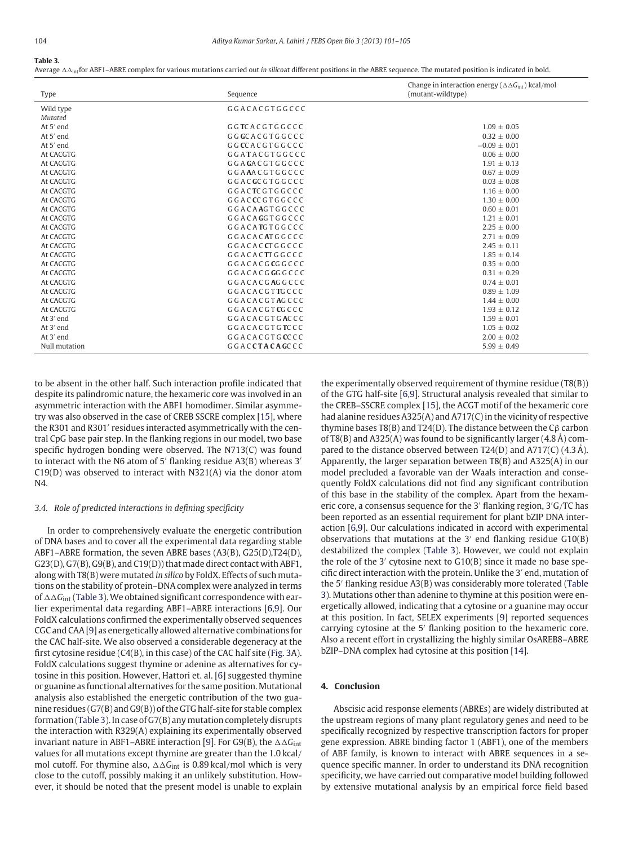#### <span id="page-3-0"></span>**Table 3.**

Average AA<sub>int</sub>for ABF1–ABRE complex for various mutations carried out *in silicoa*t different positions in the ABRE sequence. The mutated position is indicated in bold.

|               |                         | Change in interaction energy ( $\Delta \Delta G_{int}$ ) kcal/mol |
|---------------|-------------------------|-------------------------------------------------------------------|
| Type          | Sequence                | (mutant-wildtype)                                                 |
| Wild type     | GGACACGTGGCCC           |                                                                   |
| Mutated       |                         |                                                                   |
| At $5'$ end   | GGTCACGTGGCCC           | $1.09 \pm 0.05$                                                   |
| At 5' end     | GGGCACGTGGCCC           | $0.32 \pm 0.00$                                                   |
| At 5' end     | GGCCACGTGGCCC           | $-0.09 \pm 0.01$                                                  |
| At CACGTG     | GGATACGTGGCCC           | $0.06 \pm 0.00$                                                   |
| At CACGTG     | GGAGACGTGGCCC           | $1.91 \pm 0.13$                                                   |
| At CACGTG     | GGAAACGTGGCCC           | $0.67 + 0.09$                                                     |
| At CACGTG     | GGACGCGTGGCCC           | $0.03 \pm 0.08$                                                   |
| At CACGTG     | GGACTCGTGGCCC           | $1.16 \pm 0.00$                                                   |
| At CACGTG     | GGACCCGTGGCCC           | $1.30 \pm 0.00$                                                   |
| At CACGTG     | GGACAAGTGGCCC           | $0.60 \pm 0.01$                                                   |
| At CACGTG     | G G A C A G G T G G C C | $1.21 \pm 0.01$                                                   |
| At CACGTG     | GGACATGTGGCCC           | $2.25 + 0.00$                                                     |
| At CACGTG     | GGACACATGGCCC           | $2.71 \pm 0.09$                                                   |
| At CACGTG     | GGACACCTGGCCC           | $2.45 + 0.11$                                                     |
| At CACGTG     | GGACACTTGGCCC           | $1.85 + 0.14$                                                     |
| At CACGTG     | GGACACGCGGCCC           | $0.35 + 0.00$                                                     |
| At CACGTG     | G G A C A C G G G G C C | $0.31 \pm 0.29$                                                   |
| At CACGTG     | G G A C A C G A G G C C | $0.74 \pm 0.01$                                                   |
| At CACGTG     | GGACACGTTGCCC           | $0.89 \pm 1.09$                                                   |
| At CACGTG     | GGACACGTAGCCC           | $1.44 \pm 0.00$                                                   |
| At CACGTG     | GGACACGTCGCCC           | $1.93 \pm 0.12$                                                   |
| At 3' end     | GGACACGTGACCC           | $1.59 \pm 0.01$                                                   |
| At 3' end     | GGACACGTGTCCC           | $1.05 \pm 0.02$                                                   |
| At 3' end     | GGACACGTGCCCC           | $2.00 \pm 0.02$                                                   |
| Null mutation | GGACCTACAGCCC           | $5.99 \pm 0.49$                                                   |

to be absent in the other half. Such interaction profile indicated that despite its palindromic nature, the hexameric core was involved in an asymmetric interaction with the ABF1 homodimer. Similar asymmetry was also observed in the case of CREB SSCRE complex [\[15\]](#page-4-0), where the R301 and R301' residues interacted asymmetrically with the central CpG base pair step. In the flanking regions in our model, two base specific hydrogen bonding were observed. The N713(C) was found to interact with the N6 atom of 5' flanking residue  $A3(B)$  whereas 3' C19(D) was observed to interact with N321(A) via the donor atom N4.

## *3.4. Role of predicted interactions in defining specificity*

In order to comprehensively evaluate the energetic contribution of DNA bases and to cover all the experimental data regarding stable ABF1–ABRE formation, the seven ABRE bases (A3(B), G25(D),T24(D), G23(D), G7(B), G9(B), and C19(D)) that made direct contact with ABF1, along with T8(B) were mutated *in silico* by FoldX. Effects of such mutations on the stability of protein–DNA complex were analyzed in terms of  $\Delta\Delta G_{\rm int}$  (Table 3). We obtained significant correspondence with earlier experimental data regarding ABF1–ABRE interactions [\[6,9\]](#page-4-0). Our FoldX calculations confirmed the experimentally observed sequences CGC and CAA [\[9\]](#page-4-0) as energetically allowed alternative combinations for the CAC half-site. We also observed a considerable degeneracy at the first cytosine residue (C4(B), in this case) of the CAC half site [\(Fig. 3A](#page-2-0)). FoldX calculations suggest thymine or adenine as alternatives for cytosine in this position. However, Hattori et. al. [\[6\]](#page-4-0) suggested thymine or guanine as functional alternatives for the same position. Mutational analysis also established the energetic contribution of the two guanine residues (G7(B) and G9(B)) of the GTG half-site for stable complex formation (Table 3). In case of G7(B) any mutation completely disrupts the interaction with R329(A) explaining its experimentally observed invariant nature in ABF1–ABRE interaction [\[9\]](#page-4-0). For G9(B), the  $\Delta\Delta G_{\rm int}$ values for all mutations except thymine are greater than the 1.0 kcal/ mol cutoff. For thymine also,  $\Delta\Delta G_{\rm int}$  is 0.89 kcal/mol which is very close to the cutoff, possibly making it an unlikely substitution. However, it should be noted that the present model is unable to explain

the experimentally observed requirement of thymine residue (T8(B)) of the GTG half-site [\[6,9\]](#page-4-0). Structural analysis revealed that similar to the CREB–SSCRE complex [\[15\]](#page-4-0), the ACGT motif of the hexameric core had alanine residues A325(A) and A717(C) in the vicinity of respective thymine bases T8(B) and T24(D). The distance between the Cβ carbon of T8(B) and A325(A) was found to be significantly larger  $(4.8 \text{ Å})$  compared to the distance observed between T24(D) and A717(C)  $(4.3 \text{ Å})$ . Apparently, the larger separation between T8(B) and A325(A) in our model precluded a favorable van der Waals interaction and consequently FoldX calculations did not find any significant contribution of this base in the stability of the complex. Apart from the hexameric core, a consensus sequence for the 3' flanking region, 3'G/TC has been reported as an essential requirement for plant bZIP DNA interaction [\[6,9\]](#page-4-0). Our calculations indicated in accord with experimental observations that mutations at the  $3'$  end flanking residue  $G10(B)$ destabilized the complex (Table 3). However, we could not explain the role of the 3' cytosine next to  $G10(B)$  since it made no base specific direct interaction with the protein. Unlike the 3' end, mutation of the 5' flanking residue  $A3(B)$  was considerably more tolerated (Table 3). Mutations other than adenine to thymine at this position were energetically allowed, indicating that a cytosine or a guanine may occur at this position. In fact, SELEX experiments [\[9\]](#page-4-0) reported sequences carrying cytosine at the 5' flanking position to the hexameric core. Also a recent effort in crystallizing the highly similar OsAREB8–ABRE bZIP–DNA complex had cytosine at this position [\[14\]](#page-4-0).

#### **4. Conclusion**

Abscisic acid response elements (ABREs) are widely distributed at the upstream regions of many plant regulatory genes and need to be specifically recognized by respective transcription factors for proper gene expression. ABRE binding factor 1 (ABF1), one of the members of ABF family, is known to interact with ABRE sequences in a sequence specific manner. In order to understand its DNA recognition specificity, we have carried out comparative model building followed by extensive mutational analysis by an empirical force field based